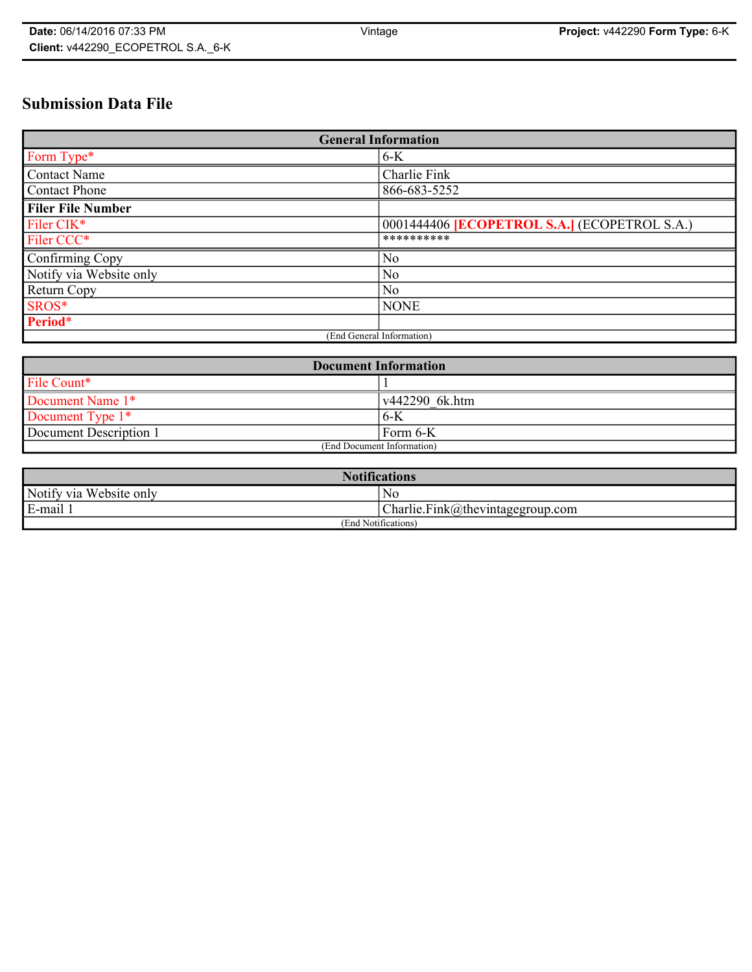# **Submission Data File**

| <b>General Information</b> |                                                     |
|----------------------------|-----------------------------------------------------|
| Form Type*                 | $6-K$                                               |
| <b>Contact Name</b>        | Charlie Fink                                        |
| <b>Contact Phone</b>       | 866-683-5252                                        |
| <b>Filer File Number</b>   |                                                     |
| Filer CIK*                 | 0001444406 <b>[ECOPETROL S.A.]</b> (ECOPETROL S.A.) |
| Filer CCC*                 | **********                                          |
| Confirming Copy            | N <sub>o</sub>                                      |
| Notify via Website only    | N <sub>0</sub>                                      |
| <b>Return Copy</b>         | N <sub>0</sub>                                      |
| SROS*                      | <b>NONE</b>                                         |
| Period*                    |                                                     |
| (End General Information)  |                                                     |

| <b>Document Information</b> |                        |  |
|-----------------------------|------------------------|--|
| File Count*                 |                        |  |
| Document Name 1*            | $\sqrt{442290}$ 6k.htm |  |
| Document Type $1*$          | $6-K$                  |  |
| Document Description 1      | Form 6-K               |  |
| (End Document Information)  |                        |  |

| <b>Notifications</b>    |                                               |  |
|-------------------------|-----------------------------------------------|--|
| Notify via Website only | Nc                                            |  |
| E-mail                  | $ {\text{Char}}$ lie.Fink@thevintagegroup.com |  |
| (End Notifications)     |                                               |  |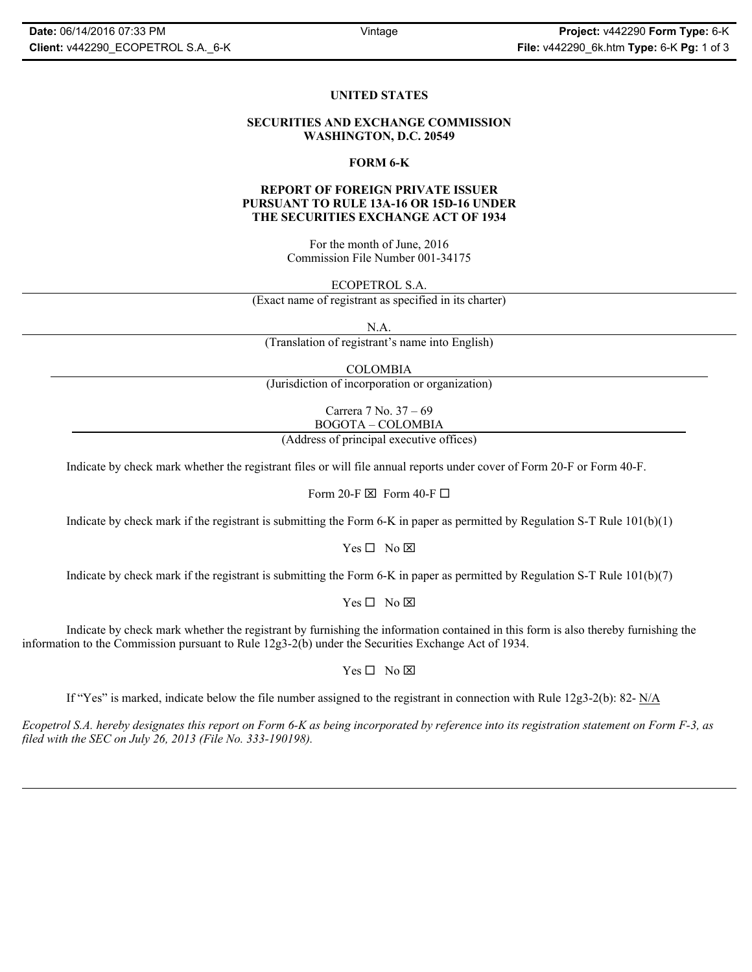## **UNITED STATES**

#### **SECURITIES AND EXCHANGE COMMISSION WASHINGTON, D.C. 20549**

#### **FORM 6-K**

### **REPORT OF FOREIGN PRIVATE ISSUER PURSUANT TO RULE 13A-16 OR 15D-16 UNDER THE SECURITIES EXCHANGE ACT OF 1934**

For the month of June, 2016 Commission File Number 001-34175

ECOPETROL S.A.

(Exact name of registrant as specified in its charter)

N.A.

(Translation of registrant's name into English)

COLOMBIA

(Jurisdiction of incorporation or organization)

Carrera 7 No. 37 – 69 BOGOTA – COLOMBIA

(Address of principal executive offices)

Indicate by check mark whether the registrant files or will file annual reports under cover of Form 20-F or Form 40-F.

Form 20-F  $\boxtimes$  Form 40-F  $\Box$ 

Indicate by check mark if the registrant is submitting the Form 6-K in paper as permitted by Regulation S-T Rule  $101(b)(1)$ 

 $Yes \Box No \boxtimes$ 

Indicate by check mark if the registrant is submitting the Form 6-K in paper as permitted by Regulation S-T Rule 101(b)(7)

 $Yes \Box No \boxtimes$ 

Indicate by check mark whether the registrant by furnishing the information contained in this form is also thereby furnishing the information to the Commission pursuant to Rule 12g3-2(b) under the Securities Exchange Act of 1934.

 $Yes \Box No \boxtimes$ 

If "Yes" is marked, indicate below the file number assigned to the registrant in connection with Rule 12g3-2(b): 82-  $N/A$ 

*Ecopetrol S.A. hereby designates this report on Form 6-K as being incorporated by reference into its registration statement on Form F-3, as filed with the SEC on July 26, 2013 (File No. 333-190198).*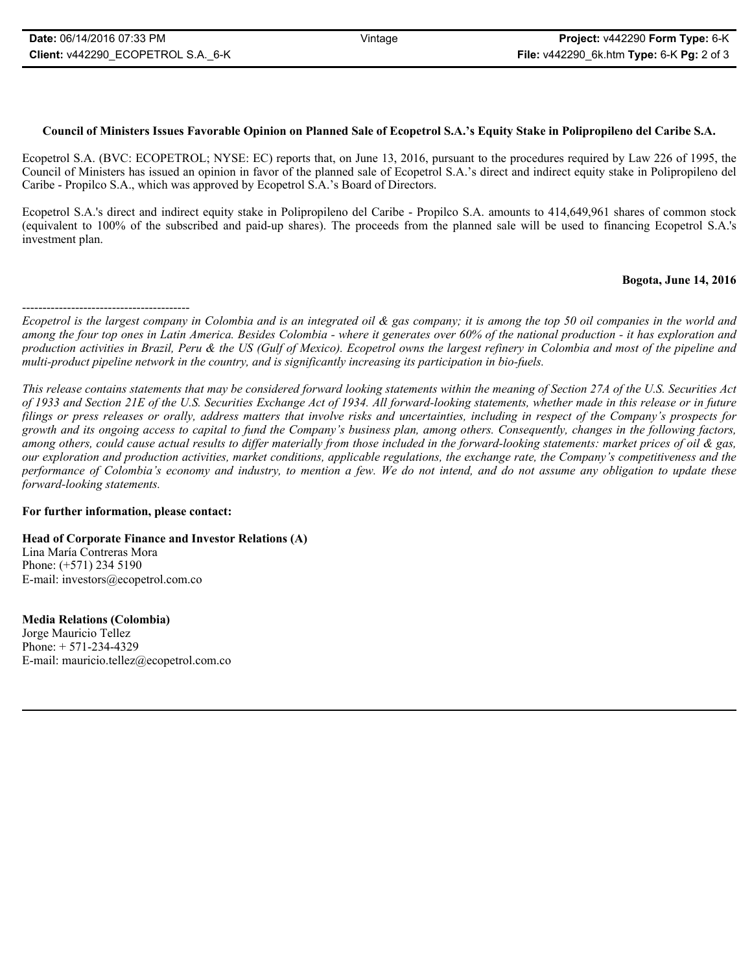# **Council of Ministers Issues Favorable Opinion on Planned Sale of Ecopetrol S.A.'s Equity Stake in Polipropileno del Caribe S.A.**

Ecopetrol S.A. (BVC: ECOPETROL; NYSE: EC) reports that, on June 13, 2016, pursuant to the procedures required by Law 226 of 1995, the Council of Ministers has issued an opinion in favor of the planned sale of Ecopetrol S.A.'s direct and indirect equity stake in Polipropileno del Caribe - Propilco S.A., which was approved by Ecopetrol S.A.'s Board of Directors.

Ecopetrol S.A.'s direct and indirect equity stake in Polipropileno del Caribe - Propilco S.A. amounts to 414,649,961 shares of common stock (equivalent to 100% of the subscribed and paid-up shares). The proceeds from the planned sale will be used to financing Ecopetrol S.A.'s investment plan.

## **Bogota, June 14, 2016**

*This release contains statements that may be considered forward looking statements within the meaning of Section 27A of the U.S. Securities Act of 1933 and Section 21E of the U.S. Securities Exchange Act of 1934. All forward-looking statements, whether made in this release or in future filings or press releases or orally, address matters that involve risks and uncertainties, including in respect of the Company's prospects for growth and its ongoing access to capital to fund the Company's business plan, among others. Consequently, changes in the following factors, among others, could cause actual results to differ materially from those included in the forward-looking statements: market prices of oil & gas, our exploration and production activities, market conditions, applicable regulations, the exchange rate, the Company's competitiveness and the performance of Colombia's economy and industry, to mention a few. We do not intend, and do not assume any obligation to update these forward-looking statements.*

## **For further information, please contact:**

## **Head of Corporate Finance and Investor Relations (A)**

Lina María Contreras Mora Phone: (+571) 234 5190 E-mail: investors@ecopetrol.com.co

**Media Relations (Colombia)**  Jorge Mauricio Tellez Phone: + 571-234-4329 E-mail: mauricio.tellez@ecopetrol.com.co

<sup>-----------------------------------------</sup> *Ecopetrol is the largest company in Colombia and is an integrated oil & gas company; it is among the top 50 oil companies in the world and among the four top ones in Latin America. Besides Colombia - where it generates over 60% of the national production - it has exploration and production activities in Brazil, Peru & the US (Gulf of Mexico). Ecopetrol owns the largest refinery in Colombia and most of the pipeline and multi-product pipeline network in the country, and is significantly increasing its participation in bio-fuels.*